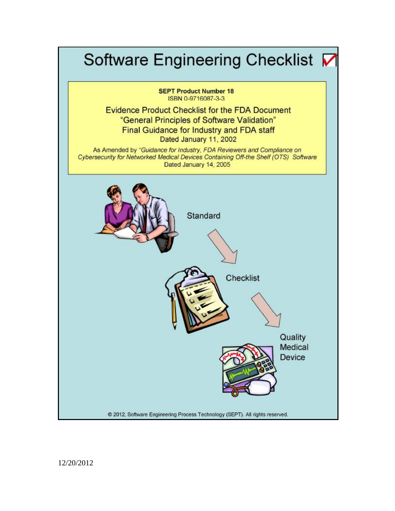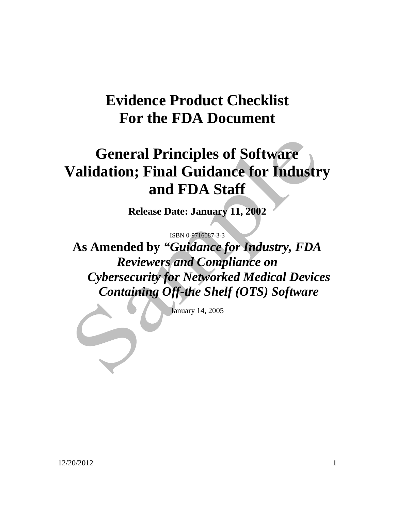## **Evidence Product Checklist For the FDA Document**

# **General Principles of Software Validation; Final Guidance for Industry and FDA Staff**

**Release Date: January 11, 2002** 

ISBN 0-9716087-3-3

**As Amended by** *"Guidance for Industry, FDA Reviewers and Compliance on Cybersecurity for Networked Medical Devices Containing Off-the Shelf (OTS) Software* 

January 14, 2005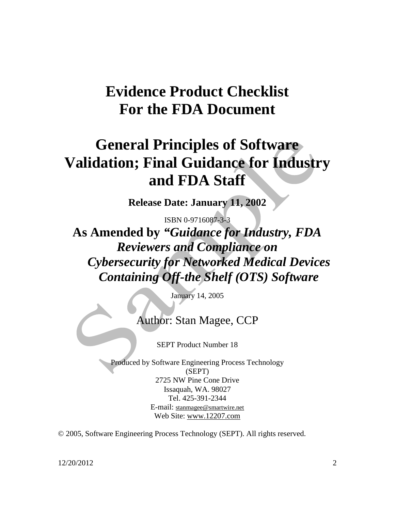## **Evidence Product Checklist For the FDA Document**

## **General Principles of Software Validation; Final Guidance for Industry and FDA Staff**

**Release Date: January 11, 2002** 

ISBN 0-9716087-3-3

**As Amended by** *"Guidance for Industry, FDA Reviewers and Compliance on Cybersecurity for Networked Medical Devices Containing Off-the Shelf (OTS) Software* 

January 14, 2005

Author: Stan Magee, CCP

SEPT Product Number 18

Produced by Software Engineering Process Technology (SEPT) 2725 NW Pine Cone Drive Issaquah, WA. 98027 Tel. 425-391-2344 E-mail: [stanmagee@smartwire.net](mailto:stanmagee@smartwire.net) Web Site: [www.12207.com](http://www.12207.com)

© 2005, Software Engineering Process Technology (SEPT). All rights reserved.

12/20/2012 2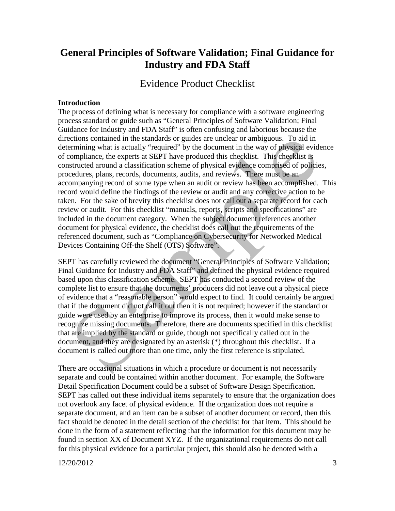## **General Principles of Software Validation; Final Guidance for Industry and FDA Staff**

Evidence Product Checklist

#### **Introduction**

The process of defining what is necessary for compliance with a software engineering process standard or guide such as "General Principles of Software Validation; Final Guidance for Industry and FDA Staff" is often confusing and laborious because the directions contained in the standards or guides are unclear or ambiguous. To aid in determining what is actually "required" by the document in the way of physical evidence of compliance, the experts at SEPT have produced this checklist. This checklist is constructed around a classification scheme of physical evidence comprised of policies, procedures, plans, records, documents, audits, and reviews. There must be an accompanying record of some type when an audit or review has been accomplished. This record would define the findings of the review or audit and any corrective action to be taken. For the sake of brevity this checklist does not call out a separate record for each review or audit. For this checklist "manuals, reports, scripts and specifications" are included in the document category. When the subject document references another document for physical evidence, the checklist does call out the requirements of the referenced document, such as "Compliance on Cybersecurity for Networked Medical Devices Containing Off-the Shelf (OTS) Software".

SEPT has carefully reviewed the document "General Principles of Software Validation; Final Guidance for Industry and FDA Staff" and defined the physical evidence required based upon this classification scheme. SEPT has conducted a second review of the complete list to ensure that the documents' producers did not leave out a physical piece of evidence that a "reasonable person" would expect to find. It could certainly be argued that if the document did not call it out then it is not required; however if the standard or guide were used by an enterprise to improve its process, then it would make sense to recognize missing documents. Therefore, there are documents specified in this checklist that are implied by the standard or guide, though not specifically called out in the document, and they are designated by an asterisk (\*) throughout this checklist. If a document is called out more than one time, only the first reference is stipulated.

There are occasional situations in which a procedure or document is not necessarily separate and could be contained within another document. For example, the Software Detail Specification Document could be a subset of Software Design Specification. SEPT has called out these individual items separately to ensure that the organization does not overlook any facet of physical evidence. If the organization does not require a separate document, and an item can be a subset of another document or record, then this fact should be denoted in the detail section of the checklist for that item. This should be done in the form of a statement reflecting that the information for this document may be found in section XX of Document XYZ. If the organizational requirements do not call for this physical evidence for a particular project, this should also be denoted with a

12/20/2012 3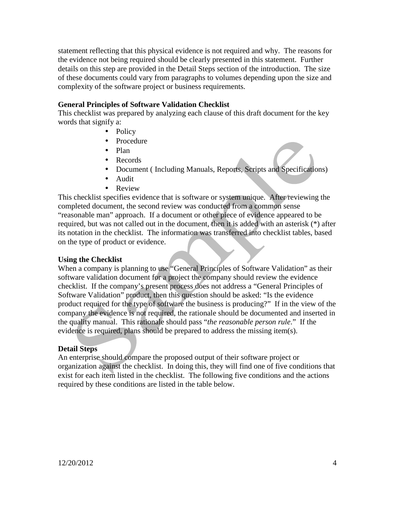statement reflecting that this physical evidence is not required and why. The reasons for the evidence not being required should be clearly presented in this statement. Further details on this step are provided in the Detail Steps section of the introduction. The size of these documents could vary from paragraphs to volumes depending upon the size and complexity of the software project or business requirements.

#### **General Principles of Software Validation Checklist**

This checklist was prepared by analyzing each clause of this draft document for the key words that signify a:

- Policy
- Procedure
- Plan
- Records
- Document (Including Manuals, Reports, Scripts and Specifications)
- Audit
- Review

This checklist specifies evidence that is software or system unique. After reviewing the completed document, the second review was conducted from a common sense "reasonable man" approach. If a document or other piece of evidence appeared to be required, but was not called out in the document, then it is added with an asterisk (\*) after its notation in the checklist. The information was transferred into checklist tables, based on the type of product or evidence.

#### **Using the Checklist**

When a company is planning to use "General Principles of Software Validation" as their software validation document for a project the company should review the evidence checklist. If the company's present process does not address a "General Principles of Software Validation" product, then this question should be asked: "Is the evidence product required for the type of software the business is producing?" If in the view of the company the evidence is not required, the rationale should be documented and inserted in the quality manual. This rationale should pass "*the reasonable person rule*." If the evidence is required, plans should be prepared to address the missing item(s).

#### **Detail Steps**

An enterprise should compare the proposed output of their software project or organization against the checklist. In doing this, they will find one of five conditions that exist for each item listed in the checklist. The following five conditions and the actions required by these conditions are listed in the table below.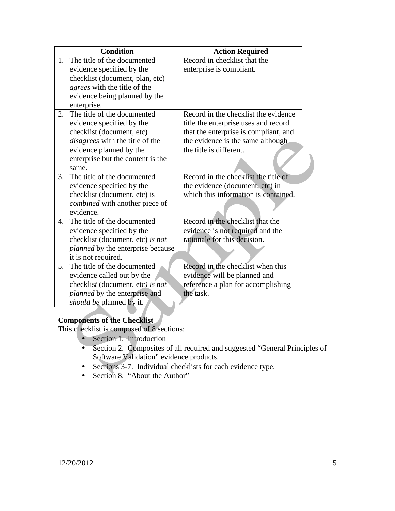|                | <b>Condition</b>                         | <b>Action Required</b>                |
|----------------|------------------------------------------|---------------------------------------|
| 1.             | The title of the documented              | Record in checklist that the          |
|                | evidence specified by the                | enterprise is compliant.              |
|                | checklist (document, plan, etc)          |                                       |
|                | <i>agrees</i> with the title of the      |                                       |
|                | evidence being planned by the            |                                       |
|                | enterprise.                              |                                       |
| 2.             | The title of the documented              | Record in the checklist the evidence  |
|                | evidence specified by the                | title the enterprise uses and record  |
|                | checklist (document, etc)                | that the enterprise is compliant, and |
|                | disagrees with the title of the          | the evidence is the same although     |
|                | evidence planned by the                  | the title is different.               |
|                | enterprise but the content is the        |                                       |
|                | same.                                    |                                       |
| 3.             | The title of the documented              | Record in the checklist the title of  |
|                | evidence specified by the                | the evidence (document, etc) in       |
|                | checklist (document, etc) is             | which this information is contained.  |
|                | combined with another piece of           |                                       |
|                | evidence.                                |                                       |
| $\mathbf{4}$ . | The title of the documented              | Record in the checklist that the      |
|                | evidence specified by the                | evidence is not required and the      |
|                | checklist (document, etc) is not         | rationale for this decision.          |
|                | <i>planned</i> by the enterprise because |                                       |
|                | it is not required.                      |                                       |
| 5 <sub>1</sub> | The title of the documented              | Record in the checklist when this     |
|                | evidence called out by the               | evidence will be planned and          |
|                | checklist (document, etc) is not         | reference a plan for accomplishing    |
|                | planned by the enterprise and            | the task.                             |
|                | <i>should be planned by it.</i>          |                                       |
|                |                                          |                                       |

### **Components of the Checklist**

This checklist is composed of 8 sections:

- Section 1. Introduction
- Section 2. Composites of all required and suggested "General Principles of Software Validation" evidence products.
- Sections 3-7. Individual checklists for each evidence type.
- Section 8. "About the Author"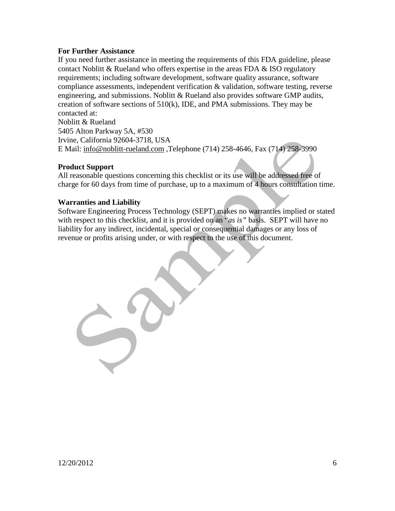#### **For Further Assistance**

If you need further assistance in meeting the requirements of this FDA guideline, please contact Noblitt  $\&$  Rueland who offers expertise in the areas FDA  $\&$  ISO regulatory requirements; including software development, software quality assurance, software compliance assessments, independent verification & validation, software testing, reverse engineering, and submissions. Noblitt & Rueland also provides software GMP audits, creation of software sections of 510(k), IDE, and PMA submissions. They may be contacted at:

Noblitt & Rueland 5405 Alton Parkway 5A, #530 Irvine, California 92604-3718, USA E Mail: [info@noblitt-rueland.com](mailto:info@noblitt-rueland.com) ,Telephone (714) 258-4646, Fax (714) 258-3990

#### **Product Support**

All reasonable questions concerning this checklist or its use will be addressed free of charge for 60 days from time of purchase, up to a maximum of 4 hours consultation time.

#### **Warranties and Liability**

Software Engineering Process Technology (SEPT) makes no warranties implied or stated with respect to this checklist, and it is provided on an "*as is"* basis. SEPT will have no liability for any indirect, incidental, special or consequential damages or any loss of revenue or profits arising under, or with respect to the use of this document.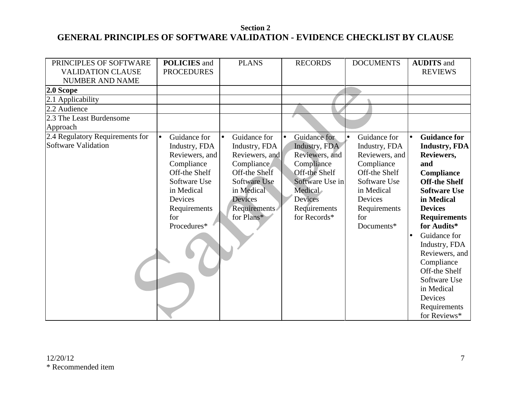### **Section 2 GENERAL PRINCIPLES OF SOFTWARE VALIDATION - EVIDENCE CHECKLIST BY CLAUSE**

| PRINCIPLES OF SOFTWARE          | <b>POLICIES</b> and       | <b>PLANS</b>       | <b>RECORDS</b>            | <b>DOCUMENTS</b> | <b>AUDITS</b> and                |
|---------------------------------|---------------------------|--------------------|---------------------------|------------------|----------------------------------|
| <b>VALIDATION CLAUSE</b>        | <b>PROCEDURES</b>         |                    |                           |                  | <b>REVIEWS</b>                   |
| <b>NUMBER AND NAME</b>          |                           |                    |                           |                  |                                  |
| $2.0$ Scope                     |                           |                    |                           |                  |                                  |
| 2.1 Applicability               |                           |                    |                           |                  |                                  |
| 2.2 Audience                    |                           |                    |                           |                  |                                  |
| 2.3 The Least Burdensome        |                           |                    |                           |                  |                                  |
| Approach                        |                           |                    |                           |                  |                                  |
| 2.4 Regulatory Requirements for | Guidance for<br>$\bullet$ | Guidance for<br>lo | Guidance for<br>$\bullet$ | Guidance for     | <b>Guidance for</b><br>$\bullet$ |
| Software Validation             | Industry, FDA             | Industry, FDA      | Industry, FDA             | Industry, FDA    | Industry, FDA                    |
|                                 | Reviewers, and            | Reviewers, and     | Reviewers, and            | Reviewers, and   | Reviewers,                       |
|                                 | Compliance                | Compliance         | Compliance                | Compliance       | and                              |
|                                 | Off-the Shelf             | Off-the Shelf      | Off-the Shelf             | Off-the Shelf    | Compliance                       |
|                                 | Software Use              | Software Use       | Software Use in           | Software Use     | <b>Off-the Shelf</b>             |
|                                 | in Medical                | in Medical         | Medical                   | in Medical       | <b>Software Use</b>              |
|                                 | Devices                   | Devices            | Devices                   | Devices          | in Medical                       |
|                                 | Requirements              | Requirements       | Requirements              | Requirements     | <b>Devices</b>                   |
|                                 | for                       | for Plans*         | for Records*              | for              | <b>Requirements</b>              |
|                                 | Procedures*               |                    |                           | Documents*       | for Audits*                      |
|                                 |                           |                    |                           |                  | Guidance for                     |
|                                 |                           |                    |                           |                  | Industry, FDA                    |
|                                 |                           |                    |                           |                  | Reviewers, and                   |
|                                 |                           |                    |                           |                  | Compliance                       |
|                                 |                           |                    |                           |                  | Off-the Shelf                    |
|                                 |                           |                    |                           |                  | Software Use                     |
|                                 |                           |                    |                           |                  | in Medical                       |
|                                 |                           |                    |                           |                  | Devices                          |
|                                 |                           |                    |                           |                  | Requirements                     |
|                                 |                           |                    |                           |                  | for Reviews*                     |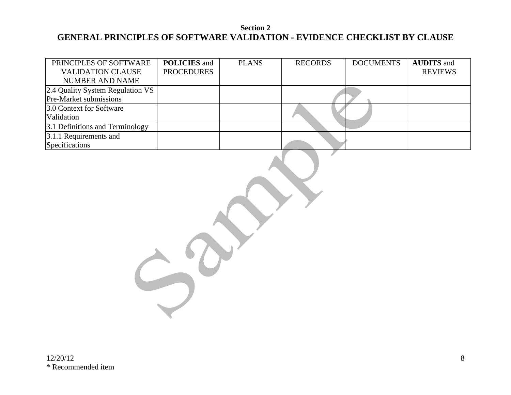### **Section 2 GENERAL PRINCIPLES OF SOFTWARE VALIDATION - EVIDENCE CHECKLIST BY CLAUSE**

| PRINCIPLES OF SOFTWARE             | <b>POLICIES</b> and | <b>PLANS</b> | <b>RECORDS</b> | <b>DOCUMENTS</b> | <b>AUDITS</b> and |
|------------------------------------|---------------------|--------------|----------------|------------------|-------------------|
| <b>VALIDATION CLAUSE</b>           | <b>PROCEDURES</b>   |              |                |                  | <b>REVIEWS</b>    |
| <b>NUMBER AND NAME</b>             |                     |              |                |                  |                   |
| [2.4 Quality System Regulation VS] |                     |              |                |                  |                   |
| <b>Pre-Market submissions</b>      |                     |              |                |                  |                   |
| 3.0 Context for Software           |                     |              |                |                  |                   |
| Validation                         |                     |              |                |                  |                   |
| 3.1 Definitions and Terminology    |                     |              |                |                  |                   |
| 3.1.1 Requirements and             |                     |              |                |                  |                   |
| Specifications                     |                     |              |                |                  |                   |